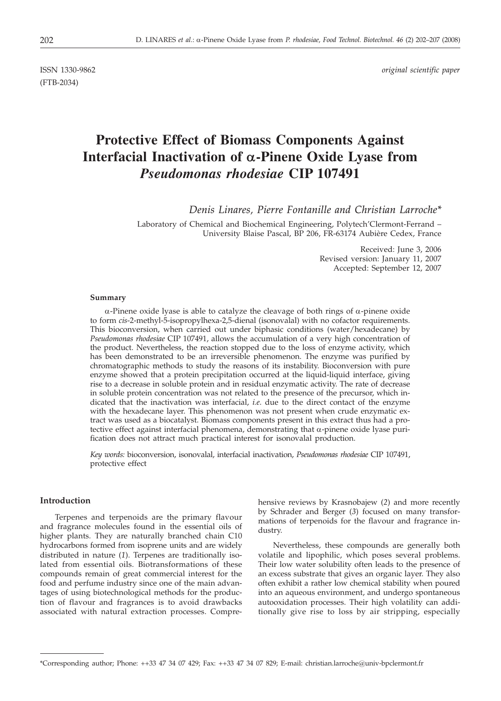(FTB-2034)

ISSN 1330-9862 *original scientific paper*

# **Protective Effect of Biomass Components Against Interfacial Inactivation of** *a***-Pinene Oxide Lyase from** *Pseudomonas rhodesiae* **CIP 107491**

*Denis Linares, Pierre Fontanille and Christian Larroche\**

Laboratory of Chemical and Biochemical Engineering, Polytech'Clermont-Ferrand – University Blaise Pascal, BP 206, FR-63174 Aubière Cedex, France

> Received: June 3, 2006 Revised version: January 11, 2007 Accepted: September 12, 2007

#### **Summary**

 $\alpha$ -Pinene oxide lyase is able to catalyze the cleavage of both rings of  $\alpha$ -pinene oxide to form *cis*-2-methyl-5-isopropylhexa-2,5-dienal (isonovalal) with no cofactor requirements. This bioconversion, when carried out under biphasic conditions (water/hexadecane) by *Pseudomonas rhodesiae* CIP 107491, allows the accumulation of a very high concentration of the product. Nevertheless, the reaction stopped due to the loss of enzyme activity, which has been demonstrated to be an irreversible phenomenon. The enzyme was purified by chromatographic methods to study the reasons of its instability. Bioconversion with pure enzyme showed that a protein precipitation occurred at the liquid-liquid interface, giving rise to a decrease in soluble protein and in residual enzymatic activity. The rate of decrease in soluble protein concentration was not related to the presence of the precursor, which indicated that the inactivation was interfacial, *i.e*. due to the direct contact of the enzyme with the hexadecane layer. This phenomenon was not present when crude enzymatic extract was used as a biocatalyst. Biomass components present in this extract thus had a protective effect against interfacial phenomena, demonstrating that  $\alpha$ -pinene oxide lyase purification does not attract much practical interest for isonovalal production.

*Key words:* bioconversion, isonovalal, interfacial inactivation, *Pseudomonas rhodesiae* CIP 107491, protective effect

## **Introduction**

Terpenes and terpenoids are the primary flavour and fragrance molecules found in the essential oils of higher plants. They are naturally branched chain C10 hydrocarbons formed from isoprene units and are widely distributed in nature (*1*). Terpenes are traditionally isolated from essential oils. Biotransformations of these compounds remain of great commercial interest for the food and perfume industry since one of the main advantages of using biotechnological methods for the production of flavour and fragrances is to avoid drawbacks associated with natural extraction processes. Comprehensive reviews by Krasnobajew (*2*) and more recently by Schrader and Berger (*3*) focused on many transformations of terpenoids for the flavour and fragrance industry.

Nevertheless, these compounds are generally both volatile and lipophilic, which poses several problems. Their low water solubility often leads to the presence of an excess substrate that gives an organic layer. They also often exhibit a rather low chemical stability when poured into an aqueous environment, and undergo spontaneous autooxidation processes. Their high volatility can additionally give rise to loss by air stripping, especially

<sup>\*</sup>Corresponding author; Phone: ++33 47 34 07 429; Fax: ++33 47 34 07 829; E-mail: christian.larroche@univ-bpclermont.fr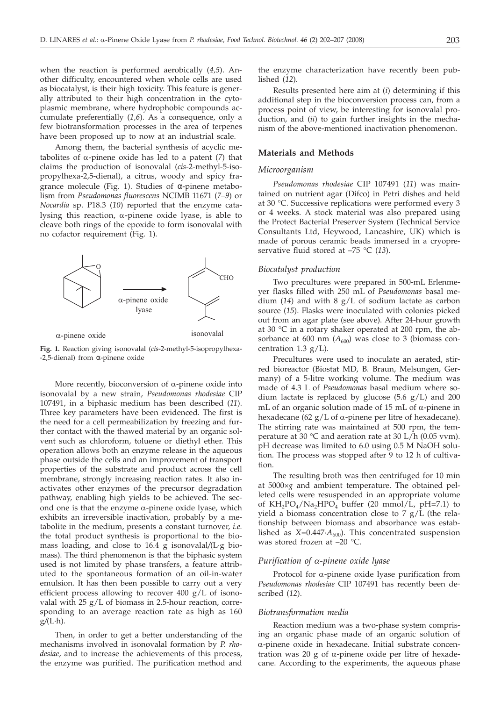when the reaction is performed aerobically (*4,5*). Another difficulty, encountered when whole cells are used as biocatalyst, is their high toxicity. This feature is generally attributed to their high concentration in the cytoplasmic membrane, where hydrophobic compounds accumulate preferentially (*1,6*). As a consequence, only a few biotransformation processes in the area of terpenes have been proposed up to now at an industrial scale.

Among them, the bacterial synthesis of acyclic metabolites of  $\alpha$ -pinene oxide has led to a patent (7) that claims the production of isonovalal (*cis*-2-methyl-5-isopropylhexa-2,5-dienal), a citrus, woody and spicy fragrance molecule (Fig. 1). Studies of α-pinene metabolism from *Pseudomonas fluorescens* NCIMB 11671 (*7–9*) or *Nocardia* sp. P18.3 (*10*) reported that the enzyme catalysing this reaction,  $\alpha$ -pinene oxide lyase, is able to cleave both rings of the epoxide to form isonovalal with no cofactor requirement (Fig. 1).



**Fig. 1.** Reaction giving isonovalal (*cis*-2-methyl-5-isopropylhexa- -2,5-dienal) from α-pinene oxide

More recently, bioconversion of  $\alpha$ -pinene oxide into isonovalal by a new strain, *Pseudomonas rhodesiae* CIP 107491, in a biphasic medium has been described (*11*). Three key parameters have been evidenced. The first is the need for a cell permeabilization by freezing and further contact with the thawed material by an organic solvent such as chloroform, toluene or diethyl ether. This operation allows both an enzyme release in the aqueous phase outside the cells and an improvement of transport properties of the substrate and product across the cell membrane, strongly increasing reaction rates. It also inactivates other enzymes of the precursor degradation pathway, enabling high yields to be achieved. The second one is that the enzyme  $\alpha$ -pinene oxide lyase, which exhibits an irreversible inactivation, probably by a metabolite in the medium, presents a constant turnover, *i.e.* the total product synthesis is proportional to the biomass loading, and close to 16.4 g isonovalal*/*(L·g biomass). The third phenomenon is that the biphasic system used is not limited by phase transfers, a feature attributed to the spontaneous formation of an oil-in-water emulsion. It has then been possible to carry out a very efficient process allowing to recover 400  $g/L$  of isonovalal with  $25 g/L$  of biomass in 2.5-hour reaction, corresponding to an average reaction rate as high as 160 g*/*(L·h).

Then, in order to get a better understanding of the mechanisms involved in isonovalal formation by *P. rhodesiae*, and to increase the achievements of this process, the enzyme was purified. The purification method and

the enzyme characterization have recently been published (*12*).

Results presented here aim at (*i*) determining if this additional step in the bioconversion process can, from a process point of view, be interesting for isonovalal production, and (*ii*) to gain further insights in the mechanism of the above-mentioned inactivation phenomenon.

# **Materials and Methods**

#### *Microorganism*

*Pseudomonas rhodesiae* CIP 107491 (*11*) was maintained on nutrient agar (Difco) in Petri dishes and held at 30 °C. Successive replications were performed every 3 or 4 weeks. A stock material was also prepared using the Protect Bacterial Preserver System (Technical Service Consultants Ltd, Heywood, Lancashire, UK) which is made of porous ceramic beads immersed in a cryopreservative fluid stored at –75 °C (*13*).

## *Biocatalyst production*

Two precultures were prepared in 500-mL Erlenmeyer flasks filled with 250 mL of *Pseudomonas* basal medium (*14*) and with 8 g/L of sodium lactate as carbon source (*15*). Flasks were inoculated with colonies picked out from an agar plate (see above). After 24-hour growth at 30 °C in a rotary shaker operated at 200 rpm, the absorbance at 600 nm  $(A_{600})$  was close to 3 (biomass concentration 1.3  $g/L$ ).

Precultures were used to inoculate an aerated, stirred bioreactor (Biostat MD, B. Braun, Melsungen, Germany) of a 5-litre working volume. The medium was made of 4.3 L of *Pseudomonas* basal medium where sodium lactate is replaced by glucose  $(5.6 \text{ g/L})$  and 200 mL of an organic solution made of 15 mL of  $\alpha$ -pinene in hexadecane (62  $g/L$  of  $\alpha$ -pinene per litre of hexadecane). The stirring rate was maintained at 500 rpm, the temperature at 30  $\degree$ C and aeration rate at 30 L/h (0.05 vvm). pH decrease was limited to 6.0 using 0.5 M NaOH solution. The process was stopped after 9 to 12 h of cultivation.

The resulting broth was then centrifuged for 10 min at 5000×*g* and ambient temperature. The obtained pelleted cells were resuspended in an appropriate volume of  $KH_2PO_4/Na_2HPO_4$  buffer (20 mmol/L, pH=7.1) to yield a biomass concentration close to 7 g/L (the relationship between biomass and absorbance was established as  $X=0.447 \cdot A_{600}$ . This concentrated suspension was stored frozen at –20 °C.

# *Purification of a-pinene oxide lyase*

Protocol for  $\alpha$ -pinene oxide lyase purification from *Pseudomonas rhodesiae* CIP 107491 has recently been described (*12*).

#### *Biotransformation media*

Reaction medium was a two-phase system comprising an organic phase made of an organic solution of a-pinene oxide in hexadecane. Initial substrate concentration was 20 g of  $\alpha$ -pinene oxide per litre of hexadecane. According to the experiments, the aqueous phase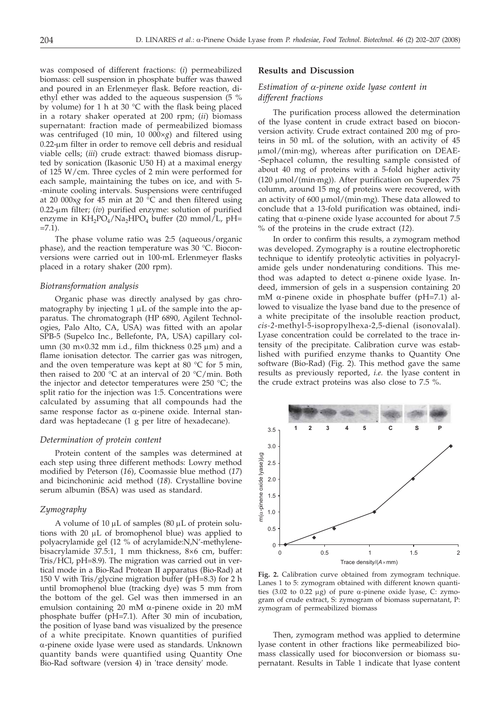was composed of different fractions: (*i*) permeabilized biomass: cell suspension in phosphate buffer was thawed and poured in an Erlenmeyer flask. Before reaction, diethyl ether was added to the aqueous suspension (5 % by volume) for 1 h at 30 °C with the flask being placed in a rotary shaker operated at 200 rpm; (*ii*) biomass supernatant: fraction made of permeabilized biomass was centrifuged (10 min, 10 000×*g*) and filtered using  $0.22$ - $\mu$ m filter in order to remove cell debris and residual viable cells; (*iii*) crude extract: thawed biomass disrupted by sonication (Ikasonic U50 H) at a maximal energy of 125 W/cm. Three cycles of 2 min were performed for each sample, maintaining the tubes on ice, and with 5- -minute cooling intervals. Suspensions were centrifuged at 20 000x*g* for 45 min at 20 °C and then filtered using 0.22-mm filter; (*iv*) purified enzyme: solution of purified enzyme in  $KH_2PO_4/Na_2HPO_4$  buffer (20 mmol/L, pH=  $=7.1$ ).

The phase volume ratio was 2:5 (aqueous/organic phase), and the reaction temperature was 30 °C. Bioconversions were carried out in 100-mL Erlenmeyer flasks placed in a rotary shaker (200 rpm).

#### *Biotransformation analysis*

Organic phase was directly analysed by gas chromatography by injecting  $1 \mu L$  of the sample into the apparatus. The chromatograph (HP 6890, Agilent Technologies, Palo Alto, CA, USA) was fitted with an apolar SPB-5 (Supelco Inc., Bellefonte, PA, USA) capillary column (30 m×0.32 mm i.d., film thickness 0.25  $\mu$ m) and a flame ionisation detector. The carrier gas was nitrogen, and the oven temperature was kept at 80  $^{\circ}$ C for 5 min, then raised to 200 °C at an interval of 20 °C/min. Both the injector and detector temperatures were 250 °C; the split ratio for the injection was 1:5. Concentrations were calculated by assuming that all compounds had the same response factor as  $\alpha$ -pinene oxide. Internal standard was heptadecane (1 g per litre of hexadecane).

#### *Determination of protein content*

Protein content of the samples was determined at each step using three different methods: Lowry method modified by Peterson (*16*), Coomassie blue method (*17*) and bicinchoninic acid method (*18*). Crystalline bovine serum albumin (BSA) was used as standard.

#### *Zymography*

A volume of  $10 \mu L$  of samples (80  $\mu L$  of protein solutions with 20  $\mu$ L of bromophenol blue) was applied to polyacrylamide gel (12 % of acrylamide:N,N'-methylenebisacrylamide 37.5:1, 1 mm thickness, 8×6 cm, buffer: Tris/HCl, pH=8.9). The migration was carried out in vertical mode in a Bio-Rad Protean II apparatus (Bio-Rad) at 150 V with Tris/glycine migration buffer (pH=8.3) for 2 h until bromophenol blue (tracking dye) was 5 mm from the bottom of the gel. Gel was then immersed in an emulsion containing 20 mM  $\alpha$ -pinene oxide in 20 mM phosphate buffer (pH=7.1). After 30 min of incubation, the position of lyase band was visualized by the presence of a white precipitate. Known quantities of purified a-pinene oxide lyase were used as standards. Unknown quantity bands were quantified using Quantity One Bio-Rad software (version 4) in 'trace density' mode.

# **Results and Discussion**

# *Estimation of a-pinene oxide lyase content in different fractions*

The purification process allowed the determination of the lyase content in crude extract based on bioconversion activity. Crude extract contained 200 mg of proteins in 50 mL of the solution, with an activity of 45  $\mu$ mol/(min·mg), whereas after purification on DEAE--Sephacel column, the resulting sample consisted of about 40 mg of proteins with a 5-fold higher activity (120  $\mu$ mol/(min·mg)). After purification on Superdex 75 column, around 15 mg of proteins were recovered, with an activity of  $600 \mu \text{mol/(min·mg)}$ . These data allowed to conclude that a 13-fold purification was obtained, indicating that  $\alpha$ -pinene oxide lyase accounted for about 7.5 % of the proteins in the crude extract (*12*).

In order to confirm this results, a zymogram method was developed. Zymography is a routine electrophoretic technique to identify proteolytic activities in polyacrylamide gels under nondenaturing conditions. This method was adapted to detect  $\alpha$ -pinene oxide lyase. Indeed, immersion of gels in a suspension containing 20 mM a-pinene oxide in phosphate buffer (pH=7.1) allowed to visualize the lyase band due to the presence of a white precipitate of the insoluble reaction product, *cis-2*-methyl-5-isopropylhexa-2,5-dienal (isonovalal). Lyase concentration could be correlated to the trace intensity of the precipitate. Calibration curve was established with purified enzyme thanks to Quantity One software (Bio-Rad) (Fig. 2). This method gave the same results as previously reported, *i.e.* the lyase content in the crude extract proteins was also close to 7.5 %.



**Fig. 2.** Calibration curve obtained from zymogram technique. Lanes 1 to 5: zymogram obtained with different known quantities (3.02 to 0.22  $\mu$ g) of pure  $\alpha$ -pinene oxide lyase, C: zymogram of crude extract, S: zymogram of biomass supernatant, P: zymogram of permeabilized biomass

Then, zymogram method was applied to determine lyase content in other fractions like permeabilized biomass classically used for bioconversion or biomass supernatant. Results in Table 1 indicate that lyase content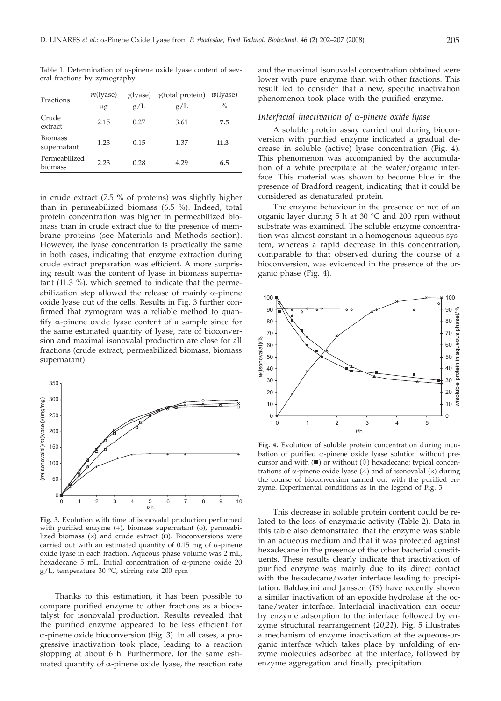| Fractions                     | $m$ (lyase)<br>μg | $\gamma$ (lyase)<br>g/L | $y$ (total protein)<br>g/L | $w$ (lyase)<br>$\%$ |
|-------------------------------|-------------------|-------------------------|----------------------------|---------------------|
| Crude<br>extract              | 2.15              | 0.27                    | 3.61                       | 7.5                 |
| <b>Biomass</b><br>supernatant | 1.23              | 0.15                    | 1.37                       | 11.3                |
| Permeabilized<br>biomass      | 2.23              | 0.28                    | 4.29                       | 6.5                 |

Table 1. Determination of  $\alpha$ -pinene oxide lyase content of several fractions by zymography

in crude extract (7.5 % of proteins) was slightly higher than in permeabilized biomass (6.5 %). Indeed, total protein concentration was higher in permeabilized biomass than in crude extract due to the presence of membrane proteins (see Materials and Methods section). However, the lyase concentration is practically the same in both cases, indicating that enzyme extraction during crude extract preparation was efficient. A more surprising result was the content of lyase in biomass supernatant (11.3 %), which seemed to indicate that the permeabilization step allowed the release of mainly  $\alpha$ -pinene oxide lyase out of the cells. Results in Fig. 3 further confirmed that zymogram was a reliable method to quantify  $\alpha$ -pinene oxide lyase content of a sample since for the same estimated quantity of lyase, rate of bioconversion and maximal isonovalal production are close for all fractions (crude extract, permeabilized biomass, biomass supernatant).



**Fig. 3.** Evolution with time of isonovalal production performed with purified enzyme (+), biomass supernatant (o), permeabilized biomass  $(x)$  and crude extract  $(\Box)$ . Bioconversions were carried out with an estimated quantity of 0.15 mg of  $\alpha$ -pinene oxide lyase in each fraction. Aqueous phase volume was 2 mL, hexadecane 5 mL. Initial concentration of  $\alpha$ -pinene oxide 20 g/L, temperature 30 °C, stirring rate 200 rpm

Thanks to this estimation, it has been possible to compare purified enzyme to other fractions as a biocatalyst for isonovalal production. Results revealed that the purified enzyme appeared to be less efficient for a-pinene oxide bioconversion (Fig. 3). In all cases, a progressive inactivation took place, leading to a reaction stopping at about 6 h. Furthermore, for the same estimated quantity of  $\alpha$ -pinene oxide lyase, the reaction rate

and the maximal isonovalal concentration obtained were lower with pure enzyme than with other fractions. This result led to consider that a new, specific inactivation phenomenon took place with the purified enzyme.

#### *Interfacial inactivation of a-pinene oxide lyase*

A soluble protein assay carried out during bioconversion with purified enzyme indicated a gradual decrease in soluble (active) lyase concentration (Fig. 4). This phenomenon was accompanied by the accumulation of a white precipitate at the water/organic interface. This material was shown to become blue in the presence of Bradford reagent, indicating that it could be considered as denaturated protein.

The enzyme behaviour in the presence or not of an organic layer during 5 h at 30 °C and 200 rpm without substrate was examined. The soluble enzyme concentration was almost constant in a homogenous aqueous system, whereas a rapid decrease in this concentration, comparable to that observed during the course of a bioconversion, was evidenced in the presence of the organic phase (Fig. 4).



**Fig. 4.** Evolution of soluble protein concentration during incubation of purified  $\alpha$ -pinene oxide lyase solution without precursor and with  $(\blacksquare)$  or without  $(\lozenge)$  hexadecane; typical concentrations of  $\alpha$ -pinene oxide lyase ( $\triangle$ ) and of isonovalal ( $\times$ ) during the course of bioconversion carried out with the purified enzyme. Experimental conditions as in the legend of Fig. 3

This decrease in soluble protein content could be related to the loss of enzymatic activity (Table 2). Data in this table also demonstrated that the enzyme was stable in an aqueous medium and that it was protected against hexadecane in the presence of the other bacterial constituents. These results clearly indicate that inactivation of purified enzyme was mainly due to its direct contact with the hexadecane/water interface leading to precipitation. Baldascini and Janssen (*19*) have recently shown a similar inactivation of an epoxide hydrolase at the octane/water interface. Interfacial inactivation can occur by enzyme adsorption to the interface followed by enzyme structural rearrangement (*20*,*21*). Fig. 5 illustrates a mechanism of enzyme inactivation at the aqueous-organic interface which takes place by unfolding of enzyme molecules adsorbed at the interface, followed by enzyme aggregation and finally precipitation.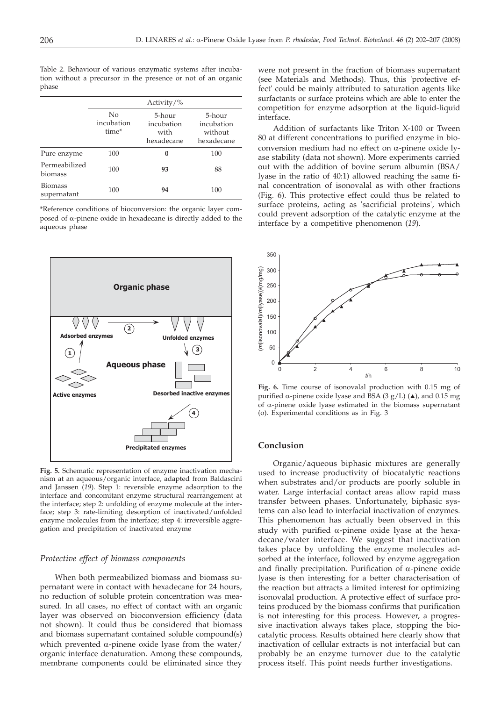Table 2. Behaviour of various enzymatic systems after incubation without a precursor in the presence or not of an organic phase

|                               | Activity/ $\%$            |                                            |                                               |  |
|-------------------------------|---------------------------|--------------------------------------------|-----------------------------------------------|--|
|                               | No<br>incubation<br>time* | 5-hour<br>incubation<br>with<br>hexadecane | 5-hour<br>incubation<br>without<br>hexadecane |  |
| Pure enzyme                   | 100                       | 0                                          | 100                                           |  |
| Permeabilized<br>biomass      | 100                       | 93                                         | 88                                            |  |
| <b>Biomass</b><br>supernatant | 100                       | 94                                         | 100                                           |  |

\*Reference conditions of bioconversion: the organic layer composed of  $\alpha$ -pinene oxide in hexadecane is directly added to the .<br>aqueous phase



**Fig. 5.** Schematic representation of enzyme inactivation mechanism at an aqueous/organic interface, adapted from Baldascini and Janssen (*19*). Step 1: reversible enzyme adsorption to the interface and concomitant enzyme structural rearrangement at the interface; step 2: unfolding of enzyme molecule at the interface; step 3: rate-limiting desorption of inactivated/unfolded enzyme molecules from the interface; step 4: irreversible aggregation and precipitation of inactivated enzyme

#### *Protective effect of biomass components*

When both permeabilized biomass and biomass supernatant were in contact with hexadecane for 24 hours, no reduction of soluble protein concentration was measured. In all cases, no effect of contact with an organic layer was observed on bioconversion efficiency (data not shown). It could thus be considered that biomass and biomass supernatant contained soluble compound(s) which prevented  $\alpha$ -pinene oxide lyase from the water/ organic interface denaturation. Among these compounds, membrane components could be eliminated since they

were not present in the fraction of biomass supernatant (see Materials and Methods). Thus, this 'protective effect' could be mainly attributed to saturation agents like surfactants or surface proteins which are able to enter the competition for enzyme adsorption at the liquid-liquid interface.

Addition of surfactants like Triton X-100 or Tween 80 at different concentrations to purified enzyme in bioconversion medium had no effect on a-pinene oxide lyase stability (data not shown). More experiments carried out with the addition of bovine serum albumin (BSA/ lyase in the ratio of 40:1) allowed reaching the same final concentration of isonovalal as with other fractions (Fig. 6). This protective effect could thus be related to surface proteins, acting as 'sacrificial proteins', which could prevent adsorption of the catalytic enzyme at the interface by a competitive phenomenon (*19*).



**Fig. 6.** Time course of isonovalal production with 0.15 mg of purified  $\alpha$ -pinene oxide lyase and BSA (3 g/L) ( $\blacktriangle$ ), and 0.15 mg of  $\alpha$ -pinene oxide lyase estimated in the biomass supernatant (o). Experimental conditions as in Fig. 3

# **Conclusion**

Organic/aqueous biphasic mixtures are generally used to increase productivity of biocatalytic reactions when substrates and/or products are poorly soluble in water. Large interfacial contact areas allow rapid mass transfer between phases. Unfortunately, biphasic systems can also lead to interfacial inactivation of enzymes. This phenomenon has actually been observed in this study with purified  $\alpha$ -pinene oxide lyase at the hexadecane/water interface. We suggest that inactivation takes place by unfolding the enzyme molecules adsorbed at the interface, followed by enzyme aggregation and finally precipitation. Purification of  $\alpha$ -pinene oxide lyase is then interesting for a better characterisation of the reaction but attracts a limited interest for optimizing isonovalal production. A protective effect of surface proteins produced by the biomass confirms that purification is not interesting for this process. However, a progressive inactivation always takes place, stopping the biocatalytic process. Results obtained here clearly show that inactivation of cellular extracts is not interfacial but can probably be an enzyme turnover due to the catalytic process itself. This point needs further investigations.